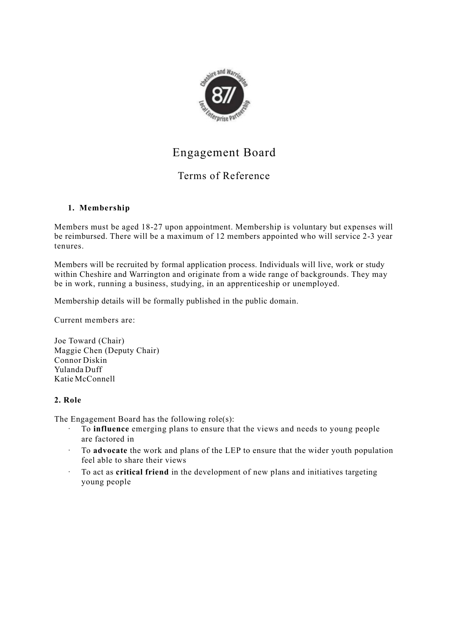

# Engagement Board

## Terms of Reference

### **1. Membership**

Members must be aged 18-27 upon appointment. Membership is voluntary but expenses will be reimbursed. There will be a maximum of 12 members appointed who will service 2-3 year tenures.

Members will be recruited by formal application process. Individuals will live, work or study within Cheshire and Warrington and originate from a wide range of backgrounds. They may be in work, running a business, studying, in an apprenticeship or unemployed.

Membership details will be formally published in the public domain.

Current members are:

Joe Toward (Chair) Maggie Chen (Deputy Chair) Connor Diskin Yulanda Duff Katie McConnell

#### **2. Role**

The Engagement Board has the following role(s):

- · To **influence** emerging plans to ensure that the views and needs to young people are factored in
- · To **advocate** the work and plans of the LEP to ensure that the wider youth population feel able to share their views
- · To act as **critical friend** in the development of new plans and initiatives targeting young people